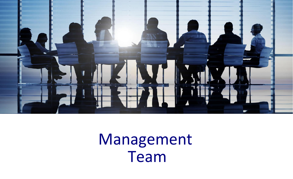

## Management Team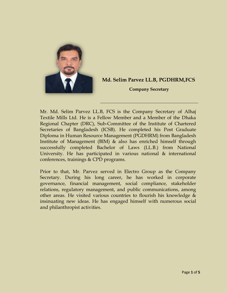

## **Md. Selim Parvez LL.B, PGDHRM,FCS**

**Company Secretary**

Mr. Md. Selim Parvez LL.B, FCS is the Company Secretary of Alhaj Textile Mills Ltd. He is a Fellow Member and a Member of the Dhaka Regional Chapter (DRC), Sub-Committee of the Institute of Chartered Secretaries of Bangladesh (ICSB). He completed his Post Graduate Diploma in Human Resource Management (PGDHRM) from Bangladesh Institute of Management (BIM) & also has enriched himself through successfully completed Bachelor of Laws (LL.B.) from National University. He has participated in various national & international conferences, trainings & CPD programs.

Prior to that, Mr. Parvez served in Electro Group as the Company Secretary. During his long career, he has worked in corporate governance, financial management, social compliance, stakeholder relations, regulatory management, and public communications, among other areas. He visited various countries to flourish his knowledge & insinuating new ideas. He has engaged himself with numerous social and philanthropist activities.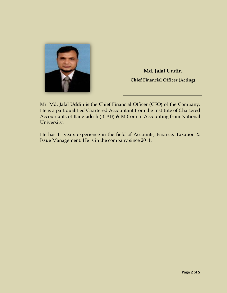

**Md. Jalal Uddin Chief Financial Officer (Acting)**

Mr. Md. Jalal Uddin is the Chief Financial Officer (CFO) of the Company. He is a part qualified Chartered Accountant from the Institute of Chartered Accountants of Bangladesh (ICAB) & M.Com in Accounting from National University.

He has 11 years experience in the field of Accounts, Finance, Taxation & Issue Management. He is in the company since 2011.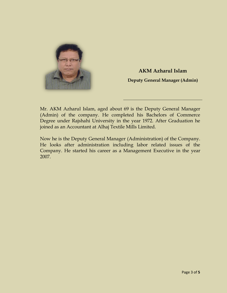

**AKM Azharul Islam Deputy General Manager (Admin)**

Mr. AKM Azharul Islam, aged about 69 is the Deputy General Manager (Admin) of the company. He completed his Bachelors of Commerce Degree under Rajshahi University in the year 1972. After Graduation he joined as an Accountant at Alhaj Textile Mills Limited.

Now he is the Deputy General Manager (Administration) of the Company. He looks after administration including labor related issues of the Company. He started his career as a Management Executive in the year 2007.